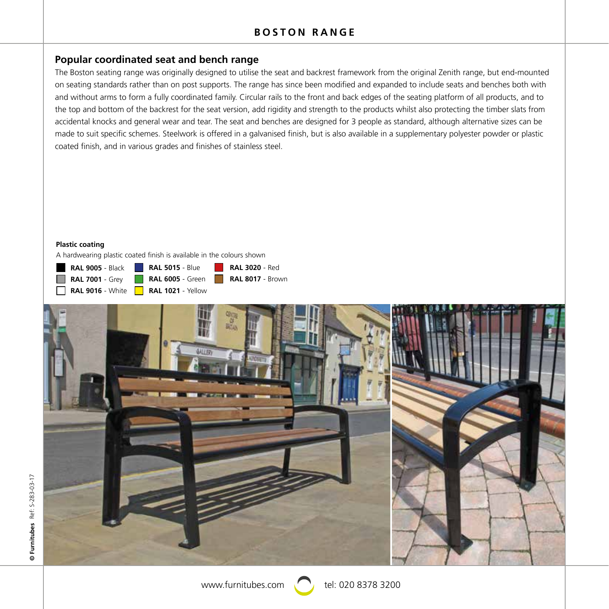# **Popular coordinated seat and bench range**

The Boston seating range was originally designed to utilise the seat and backrest framework from the original Zenith range, but end-mounted on seating standards rather than on post supports. The range has since been modified and expanded to include seats and benches both with and without arms to form a fully coordinated family. Circular rails to the front and back edges of the seating platform of all products, and to the top and bottom of the backrest for the seat version, add rigidity and strength to the products whilst also protecting the timber slats from accidental knocks and general wear and tear. The seat and benches are designed for 3 people as standard, although alternative sizes can be made to suit specific schemes. Steelwork is offered in a galvanised finish, but is also available in a supplementary polyester powder or plastic coated finish, and in various grades and finishes of stainless steel.

#### **Plastic coating**

A hardwearing plastic coated finish is available in the colours shown